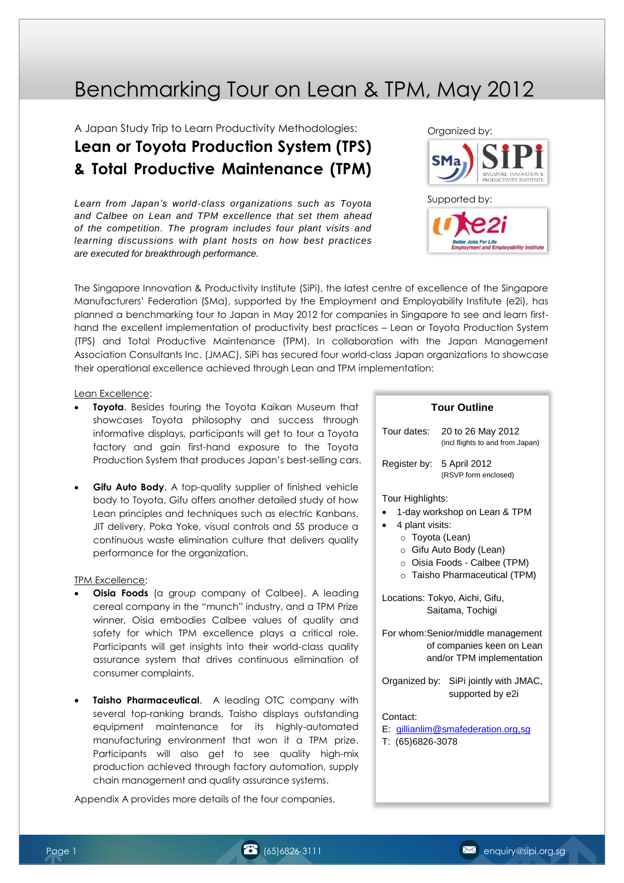# Benchmarking Tour on Lean & TPM, May 2012

A Japan Study Trip to Learn Productivity Methodologies:

# **Lean or Toyota Production System (TPS) & Total Productive Maintenance (TPM)**

*Learn from Japan's world-class organizations such as Toyota and Calbee on Lean and TPM excellence that set them ahead of the competition. The program includes four plant visits and learning discussions with plant hosts on how best practices are executed for breakthrough performance.*



The Singapore Innovation & Productivity Institute (SiPi), the latest centre of excellence of the Singapore Manufacturers' Federation (SMa), supported by the Employment and Employability Institute (e2i), has planned a benchmarking tour to Japan in May 2012 for companies in Singapore to see and learn firsthand the excellent implementation of productivity best practices – Lean or Toyota Production System (TPS) and Total Productive Maintenance (TPM). In collaboration with the Japan Management Association Consultants Inc. (JMAC), SiPi has secured four world-class Japan organizations to showcase their operational excellence achieved through Lean and TPM implementation:

#### Lean Excellence:

- **Toyota**. Besides touring the Toyota Kaikan Museum that showcases Toyota philosophy and success through informative displays, participants will get to tour a Toyota factory and gain first-hand exposure to the Toyota Production System that produces Japan's best-selling cars.
- **Gifu Auto Body.** A top-quality supplier of finished vehicle body to Toyota, Gifu offers another detailed study of how Lean principles and techniques such as electric Kanbans, JIT delivery, Poka Yoke, visual controls and 5S produce a continuous waste elimination culture that delivers quality performance for the organization.

#### TPM Excellence:

- **Oisia Foods** (a group company of Calbee). A leading cereal company in the "munch" industry, and a TPM Prize winner, Oisia embodies Calbee values of quality and safety for which TPM excellence plays a critical role. Participants will get insights into their world-class quality assurance system that drives continuous elimination of consumer complaints.
- **Taisho Pharmaceutical**. A leading OTC company with several top-ranking brands, Taisho displays outstanding equipment maintenance for its highly-automated manufacturing environment that won it a TPM prize. Participants will also get to see quality high-mix production achieved through factory automation, supply chain management and quality assurance systems.

Appendix A provides more details of the four companies.

### **Tour Outline**

| Tour dates: | 20 to 26 May 2012                |  |
|-------------|----------------------------------|--|
|             | (incl flights to and from Japan) |  |

Register by: 5 April 2012 (RSVP form enclosed)

#### Tour Highlights:

- 1-day workshop on Lean & TPM
	- 4 plant visits:
		- o Toyota (Lean)
		- o Gifu Auto Body (Lean)
		- o Oisia Foods Calbee (TPM)
		- o Taisho Pharmaceutical (TPM)

Locations: Tokyo, Aichi, Gifu, Saitama, Tochigi

For whom:Senior/middle management of companies keen on Lean and/or TPM implementation

Organized by: SiPi jointly with JMAC, supported by e2i

Contact:

E: [gillianlim@smafederation.org,sg](mailto:gillianlim@smafederation.org,sg) T: (65)6826-3078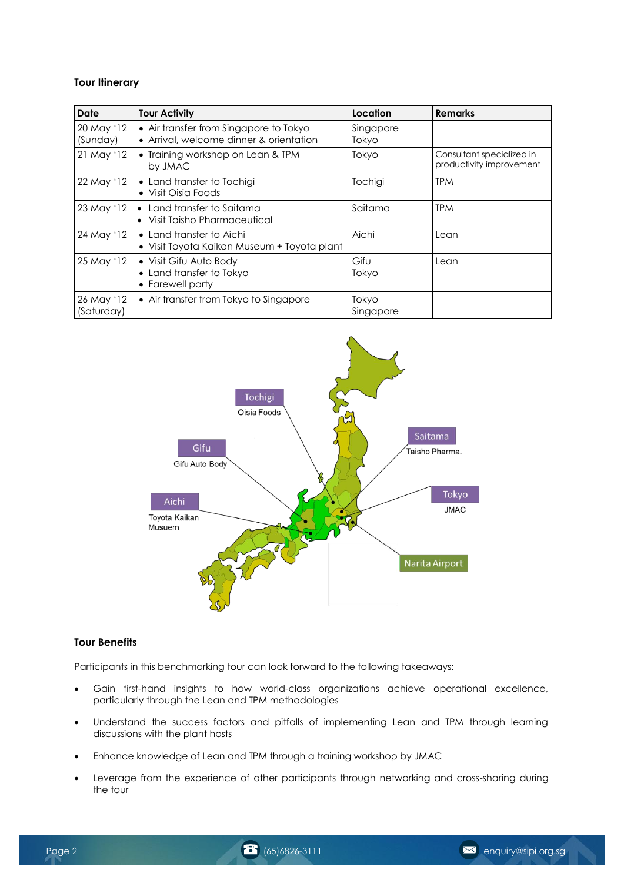## **Tour Itinerary**

| <b>Date</b>              | <b>Tour Activity</b>                                                              | Location           | <b>Remarks</b>                                        |
|--------------------------|-----------------------------------------------------------------------------------|--------------------|-------------------------------------------------------|
| 20 May '12<br>(Sunday)   | • Air transfer from Singapore to Tokyo<br>• Arrival, welcome dinner & orientation | Singapore<br>Tokyo |                                                       |
| 21 May '12               | • Training workshop on Lean & TPM<br>by JMAC                                      | Tokyo              | Consultant specialized in<br>productivity improvement |
| 22 May '12               | • Land transfer to Tochigi<br>• Visit Oisia Foods                                 | Tochigi            | TPM                                                   |
| 23 May '12               | Land transfer to Saitama<br>I۰<br>Visit Taisho Pharmaceutical<br>l.               | Saitama            | <b>TPM</b>                                            |
| 24 May '12               | • Land transfer to Aichi<br>• Visit Toyota Kaikan Museum + Toyota plant           | Aichi              | Lean                                                  |
| 25 May '12               | • Visit Gifu Auto Body<br>• Land transfer to Tokyo<br>• Farewell party            | Gifu<br>Tokyo      | Lean                                                  |
| 26 May '12<br>(Saturday) | • Air transfer from Tokyo to Singapore                                            | Tokyo<br>Singapore |                                                       |



# **Tour Benefits**

Participants in this benchmarking tour can look forward to the following takeaways:

- Gain first-hand insights to how world-class organizations achieve operational excellence, particularly through the Lean and TPM methodologies
- Understand the success factors and pitfalls of implementing Lean and TPM through learning discussions with the plant hosts
- Enhance knowledge of Lean and TPM through a training workshop by JMAC
- Leverage from the experience of other participants through networking and cross-sharing during the tour